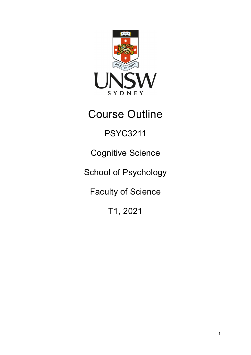

# Course Outline

## PSYC3211

## Cognitive Science

## School of Psychology

## Faculty of Science

## T1, 2021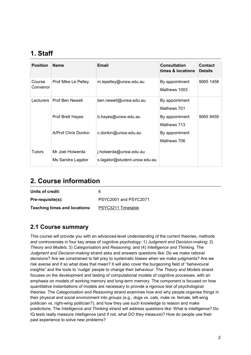## **1. Staff**

| <b>Position</b>    | <b>Name</b>                           | <b>Email</b>                                            | <b>Consultation</b><br>times & locations | <b>Contact</b><br><b>Details</b> |
|--------------------|---------------------------------------|---------------------------------------------------------|------------------------------------------|----------------------------------|
| Course<br>Convenor | Prof Mike Le Pelley                   | m.lepelley@unsw.edu.au                                  | By appointment<br>Mathews 1003           | 9065 1458                        |
| Lecturers          | Prof Ben Newell                       | ben.newell@unsw.edu.au                                  | By appointment<br>Mathews 701            |                                  |
|                    | Prof Brett Hayes                      | b.hayes@unsw.edu.au                                     | By appointment<br>Mathews 713            | 9065 9459                        |
|                    | A/Prof Chris Donkin                   | c.donkin@unsw.edu.au                                    | By appointment<br>Mathews 706            |                                  |
| <b>Tutors</b>      | Mr Joel Holwerda<br>Ms Sandra Lagator | j.holwerda@unsw.edu.au<br>s.lagator@student.unsw.edu.au |                                          |                                  |

### **2. Course information**

| Units of credit:                     | 6                     |
|--------------------------------------|-----------------------|
| Pre-requisite(s):                    | PSYC2001 and PSYC2071 |
| <b>Teaching times and locations:</b> | PSYC3211 Timetable    |

#### **2.1 Course summary**

This course will provide you with an advanced-level understanding of the current theories, methods and controversies in four key areas of cognitive psychology: 1) *Judgment and Decision-making*; 2) *Theory and Models*; 3) *Categorisation and Reasoning*; and (4) *Intelligence and Thinking*. The *Judgment and Decision-making* strand asks and answers questions like: Do we make rational decisions? Are we constrained to fall prey to systematic biases when we make judgments? Are we risk averse and if so what does that mean? It will also cover the burgeoning field of "behavioural insights" and the tools to 'nudge' people to change their behaviour. The *Theory and Models* strand focuses on the development and testing of computational models of cognitive processes, with an emphasis on models of working memory and long-term memory. The component is focused on how quantitative instantiations of models are necessary to provide a rigorous test of psychological theories. The *Categorisation and Reasoning* strand examines how and why people organise things in their physical and social environment into groups (e.g., dogs vs. cats, male vs. female, left-wing politician vs. right-wing politician?), and how they use such knowledge to reason and make predictions. The *Intelligence and Thinking* strand will address questions like: What is intelligence? Do IQ tests really measure intelligence (and if not, what DO they measure)? How do people use their past experience to solve new problems?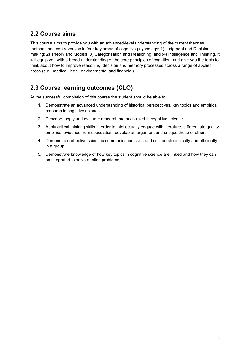#### **2.2 Course aims**

This course aims to provide you with an advanced-level understanding of the current theories, methods and controversies in four key areas of cognitive psychology: 1) Judgment and Decisionmaking; 2) Theory and Models; 3) Categorisation and Reasoning; and (4) Intelligence and Thinking. It will equip you with a broad understanding of the core principles of cognition, and give you the tools to think about how to improve reasoning, decision and memory processes across a range of applied areas (e.g., medical, legal, environmental and financial).

### **2.3 Course learning outcomes (CLO)**

At the successful completion of this course the student should be able to:

- 1. Demonstrate an advanced understanding of historical perspectives, key topics and empirical research in cognitive science.
- 2. Describe, apply and evaluate research methods used in cognitive science.
- 3. Apply critical thinking skills in order to intellectually engage with literature, differentiate quality empirical evidence from speculation, develop an argument and critique those of others.
- 4. Demonstrate effective scientific communication skills and collaborate ethically and efficiently in a group.
- 5. Demonstrate knowledge of how key topics in cognitive science are linked and how they can be integrated to solve applied problems.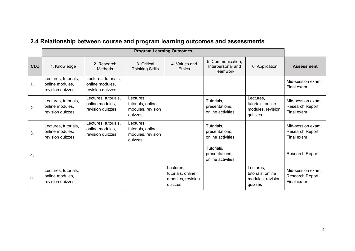|            | <b>Program Learning Outcomes</b>                            |                                                             |                                                                |                                                                |                                                    |                                                                |                                                     |
|------------|-------------------------------------------------------------|-------------------------------------------------------------|----------------------------------------------------------------|----------------------------------------------------------------|----------------------------------------------------|----------------------------------------------------------------|-----------------------------------------------------|
| <b>CLO</b> | 1. Knowledge                                                | 2. Research<br>Methods                                      | 3. Critical<br><b>Thinking Skills</b>                          | 4. Values and<br><b>Ethics</b>                                 | 5. Communication,<br>Interpersonal and<br>Teamwork | 6. Application                                                 | <b>Assessment</b>                                   |
| 1.         | Lectures, tutorials,<br>online modules,<br>revision quizzes | Lectures, tutorials,<br>online modules,<br>revision quizzes |                                                                |                                                                |                                                    |                                                                | Mid-session exam,<br>Final exam                     |
| 2.         | Lectures, tutorials,<br>online modules,<br>revision quizzes | Lectures, tutorials,<br>online modules,<br>revision quizzes | Lectures,<br>tutorials, online<br>modules, revision<br>quizzes |                                                                | Tutorials,<br>presentations,<br>online activities  | Lectures,<br>tutorials, online<br>modules, revision<br>quizzes | Mid-session exam,<br>Research Report,<br>Final exam |
| 3.         | Lectures, tutorials,<br>online modules,<br>revision quizzes | Lectures, tutorials,<br>online modules,<br>revision quizzes | Lectures,<br>tutorials, online<br>modules, revision<br>quizzes |                                                                | Tutorials,<br>presentations,<br>online activities  |                                                                | Mid-session exam,<br>Research Report,<br>Final exam |
| 4.         |                                                             |                                                             |                                                                |                                                                | Tutorials,<br>presentations,<br>online activities  |                                                                | Research Report                                     |
| 5.         | Lectures, tutorials,<br>online modules,<br>revision quizzes |                                                             |                                                                | Lectures,<br>tutorials, online<br>modules, revision<br>quizzes |                                                    | Lectures,<br>tutorials, online<br>modules, revision<br>quizzes | Mid-session exam,<br>Research Report,<br>Final exam |

## **2.4 Relationship between course and program learning outcomes and assessments**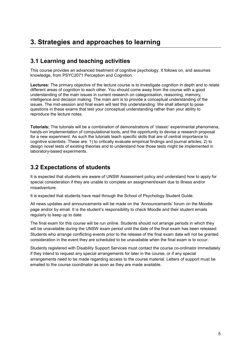## **3. Strategies and approaches to learning**

#### **3.1 Learning and teaching activities**

This course provides an advanced treatment of cognitive psychology. It follows on, and assumes knowledge, from PSYC2071 Perception and Cognition.

**Lectures:** The primary objective of the lecture course is to investigate cognition in depth and to relate different areas of cognition to each other. You should come away from the course with a good understanding of the main issues in current research on categorisation, reasoning, memory, intelligence and decision making. The main aim is to provide a conceptual understanding of the issues. The mid-session and final exam will test this understanding. We shall attempt to pose questions in these exams that test your conceptual understanding rather than your ability to reproduce the lecture notes.

**Tutorials:** The tutorials will be a combination of demonstrations of 'classic' experimental phenomena, hands-on implementation of computational tools, and the opportunity to devise a research proposal for a new experiment. As such the tutorials teach specific skills that are of central importance to cognitive scientists. These are: 1) to critically evaluate empirical findings and journal articles; 2) to design novel tests of existing theories and to understand how those tests might be implemented in laboratory-based experiments.

#### **3.2 Expectations of students**

It is expected that students are aware of UNSW Assessment policy and understand how to apply for special consideration if they are unable to complete an assignment/exam due to illness and/or misadventure.

It is expected that students have read through the School of Psychology Student Guide.

All news updates and announcements will be made on the 'Announcements' forum on the Moodle page and/or by email. It is the student's responsibility to check Moodle and their student emails regularly to keep up to date.

The final exam for this course will be run online. Students should not arrange periods in which they will be unavailable during the UNSW exam period until the date of the final exam has been released. Students who arrange conflicting events prior to the release of the final exam date will not be granted consideration in the event they are scheduled to be unavailable when the final exam is to occur.

Students registered with Disability Support Services must contact the course co-ordinator immediately if they intend to request any special arrangements for later in the course, or if any special arrangements need to be made regarding access to the course material. Letters of support must be emailed to the course coordinator as soon as they are made available.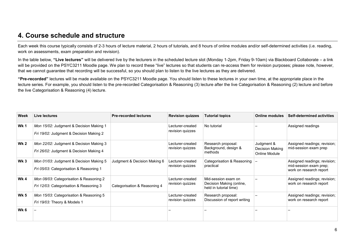### **4. Course schedule and structure**

Each week this course typically consists of 2-3 hours of lecture material, 2 hours of tutorials, and 8 hours of online modules and/or self-determined activities (i.e. reading, work on assessments, exam preparation and revision).

In the table below, **"Live lectures"** will be delivered live by the lecturers in the scheduled lecture slot (Monday 1-2pm, Friday 9-10am) via Blackboard Collaborate – a link will be provided on the PSYC3211 Moodle page. We plan to record these "live" lectures so that students can re-access them for revision purposes; please note, however, that we cannot guarantee that recording will be successful, so you should plan to listen to the live lectures as they are delivered.

**"Pre-recorded"** lectures will be made available on the PSYC3211 Moodle page. You should listen to these lectures in your own time, at the appropriate place in the lecture series. For example, you should listen to the pre-recorded Categorisation & Reasoning (3) lecture after the live Categorisation & Reasoning (2) lecture and before the live Categorisation & Reasoning (4) lecture.

| Week        | Live lectures                                                                      | <b>Pre-recorded lectures</b> | <b>Revision quizzes</b>              | <b>Tutorial topics</b>                                                    | <b>Online modules</b>                          | <b>Self-determined activities</b>                                                 |
|-------------|------------------------------------------------------------------------------------|------------------------------|--------------------------------------|---------------------------------------------------------------------------|------------------------------------------------|-----------------------------------------------------------------------------------|
| <b>Wk 1</b> | Mon 15/02: Judgment & Decision Making 1<br>Fri 19/02: Judgment & Decision Making 2 |                              | Lecturer-created<br>revision quizzes | No tutorial                                                               |                                                | Assigned readings                                                                 |
| <b>Wk 2</b> | Mon 22/02: Judgment & Decision Making 3<br>Fri 26/02: Judgment & Decision Making 4 |                              | Lecturer-created<br>revision quizzes | Research proposal:<br>Background, design &<br>methods                     | Judgment &<br>Decision Making<br>Online Module | Assigned readings; revision;<br>mid-session exam prep                             |
| Wk 3        | Mon 01/03: Judgment & Decision Making 5<br>Fri 05/03: Categorisation & Reasoning 1 | Judgment & Decision Making 6 | Lecturer-created<br>revision quizzes | Categorisation & Reasoning<br>practical                                   |                                                | Assigned readings; revision;<br>mid-session exam prep;<br>work on research report |
| Wk 4        | Mon 08/03: Categorisation & Reasoning 2<br>Fri 12/03: Categorisation & Reasoning 3 | Categorisation & Reasoning 4 | Lecturer-created<br>revision quizzes | Mid-session exam on<br>Decision Making (online,<br>held in tutorial time) |                                                | Assigned readings; revision;<br>work on research report                           |
| <b>Wk 5</b> | Mon 15/03: Categorisation & Reasoning 5<br>Fri 19/03: Theory & Models 1            |                              | Lecturer-created<br>revision quizzes | Research proposal:<br>Discussion of report writing                        |                                                | Assigned readings; revision;<br>work on research report                           |
| Wk 6        |                                                                                    |                              |                                      |                                                                           |                                                |                                                                                   |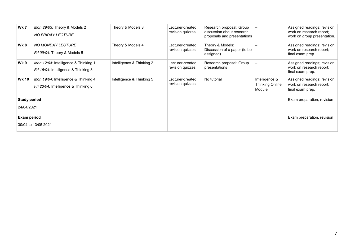| <b>Wk 7</b>         | Mon 29/03: Theory & Models 2<br><b>NO FRIDAY LECTURE</b>                     | Theory & Models 3         | Lecturer-created<br>revision quizzes | Research proposal: Group<br>discussion about research<br>proposals and presentations |                                                    | Assigned readings; revision;<br>work on research report;<br>work on group presentation. |
|---------------------|------------------------------------------------------------------------------|---------------------------|--------------------------------------|--------------------------------------------------------------------------------------|----------------------------------------------------|-----------------------------------------------------------------------------------------|
| <b>Wk 8</b>         | NO MONDAY LECTURE<br>Fri 09/04: Theory & Models 5                            | Theory & Models 4         | Lecturer-created<br>revision quizzes | Theory & Models:<br>Discussion of a paper (to be<br>assigned).                       |                                                    | Assigned readings; revision;<br>work on research report;<br>final exam prep.            |
| Wk 9                | Mon 12/04: Intelligence & Thinking 1<br>Fri 16/04: Intelligence & Thinking 3 | Intelligence & Thinking 2 | Lecturer-created<br>revision quizzes | Research proposal: Group<br>presentations                                            |                                                    | Assigned readings; revision;<br>work on research report;<br>final exam prep.            |
| <b>Wk 10</b>        | Mon 19/04: Intelligence & Thinking 4<br>Fri 23/04: Intelligence & Thinking 6 | Intelligence & Thinking 5 | Lecturer-created<br>revision quizzes | No tutorial                                                                          | Intelligence &<br><b>Thinking Online</b><br>Module | Assigned readings; revision;<br>work on research report;<br>final exam prep.            |
| <b>Study period</b> |                                                                              |                           |                                      |                                                                                      |                                                    | Exam preparation, revision                                                              |
| 24/04/2021          |                                                                              |                           |                                      |                                                                                      |                                                    |                                                                                         |
| <b>Exam period</b>  |                                                                              |                           |                                      |                                                                                      |                                                    | Exam preparation, revision                                                              |
| 30/04 to 13/05 2021 |                                                                              |                           |                                      |                                                                                      |                                                    |                                                                                         |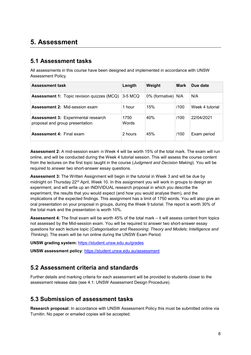### **5. Assessment**

#### **5.1 Assessment tasks**

All assessments in this course have been designed and implemented in accordance with UNSW Assessment Policy.

| <b>Assessment task</b>                                                         | Length        | Weight         | <b>Mark</b> | Due date        |
|--------------------------------------------------------------------------------|---------------|----------------|-------------|-----------------|
| <b>Assessment 1:</b> Topic revision quizzes (MCQ)                              | 3-5 MCQ       | 0% (formative) | N/A         | N/A             |
| <b>Assessment 2: Mid-session exam</b>                                          | 1 hour        | 15%            | /100        | Week 4 tutorial |
| <b>Assessment 3: Experimental research</b><br>proposal and group presentation. | 1750<br>Words | 40%            | /100        | 22/04/2021      |
| <b>Assessment 4: Final exam</b>                                                | 2 hours       | 45%            | /100        | Exam period     |

**Assessment 2:** A mid-session exam in Week 4 will be worth 15% of the total mark. The exam will run online, and will be conducted during the Week 4 tutorial session. This will assess the course content from the lectures on the first topic taught in the course (*Judgment and Decision Making*). You will be required to answer two short-answer essay questions.

**Assessment 3:** The Written Assignment will begin in the tutorial in Week 3 and will be due by midnight on Thursday 22<sup>rd</sup> April, Week 10. In this assignment you will work in groups to design an experiment, and will write up an INDIVIDUAL research proposal in which you describe the experiment, the results that you would expect (and how you would analyse them), and the implications of the expected findings. This assignment has a limit of 1750 words. You will also give an oral presentation on your proposal in groups, during the Week 9 tutorial. The report is worth 30% of the total mark and the presentation is worth 10%.

**Assessment 4:** The final exam will be worth 45% of the total mark – it will assess content from topics not assessed by the Mid-session exam. You will be required to answer two short-answer essay questions for each lecture topic (*Categorisation and Reasoning*; *Theory and Models*; *Intelligence and Thinking*). The exam will be run online during the UNSW Exam Period.

**UNSW grading system:** <https://student.unsw.edu.au/grades>

**UNSW assessment policy**: <https://student.unsw.edu.au/assessment>

#### **5.2 Assessment criteria and standards**

Further details and marking criteria for each assessment will be provided to students closer to the assessment release date (see 4.1: UNSW Assessment Design Procedure).

#### **5.3 Submission of assessment tasks**

**Research proposal:** In accordance with UNSW Assessment Policy this must be submitted online via Turnitin. No paper or emailed copies will be accepted.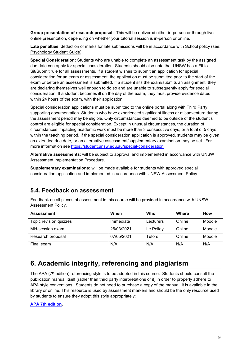**Group presentation of research proposal:** This will be delivered either in-person or through live online presentation, depending on whether your tutorial session is in-person or online.

**Late penalties**: deduction of marks for late submissions will be in accordance with School policy (see: [Psychology Student Guide\)](https://moodle.telt.unsw.edu.au/mod/resource/view.php?id=1630526).

**Special Consideration:** Students who are unable to complete an assessment task by the assigned due date can apply for special consideration. Students should also note that UNSW has a Fit to Sit/Submit rule for all assessments. If a student wishes to submit an application for special consideration for an exam or assessment, the application must be submitted prior to the start of the exam or before an assessment is submitted. If a student sits the exam/submits an assignment, they are declaring themselves well enough to do so and are unable to subsequently apply for special consideration. If a student becomes ill on the day of the exam, they must provide evidence dated within 24 hours of the exam, with their application.

Special consideration applications must be submitted to the online portal along with Third Party supporting documentation. Students who have experienced significant illness or misadventure during the assessment period may be eligible. Only circumstances deemed to be outside of the student's control are eligible for special consideration. Except in unusual circumstances, the duration of circumstances impacting academic work must be more than 3 consecutive days, or a total of 5 days within the teaching period. If the special consideration application is approved, students may be given an extended due date, or an alternative assessment/supplementary examination may be set. For more information see [https://student.unsw.edu.au/special-consideration.](https://student.unsw.edu.au/special-consideration)

**Alternative assessments**: will be subject to approval and implemented in accordance with UNSW Assessment Implementation Procedure.

**Supplementary examinations:** will be made available for students with approved special consideration application and implemented in accordance with UNSW Assessment Policy.

#### **5.4. Feedback on assessment**

Feedback on all pieces of assessment in this course will be provided in accordance with UNSW Assessment Policy.

| <b>Assessment</b>      | When       | Who       | Where  | How    |
|------------------------|------------|-----------|--------|--------|
| Topic revision quizzes | Immediate  | Lecturers | Online | Moodle |
| Mid-session exam       | 26/03/2021 | Le Pelley | Online | Moodle |
| Research proposal      | 07/05/2021 | Tutors    | Online | Moodle |
| Final exam             | N/A        | N/A       | N/A    | N/A    |

### **6. Academic integrity, referencing and plagiarism**

The APA (7<sup>th</sup> edition) referencing style is to be adopted in this course. Students should consult the publication manual itself (rather than third party interpretations of it) in order to properly adhere to APA style conventions. Students do not need to purchase a copy of the manual, it is available in the library or online. This resource is used by assessment markers and should be the only resource used by students to ensure they adopt this style appropriately:

#### **[APA 7th edition.](https://apastyle.apa.org/products/publication-manual-7th-edition)**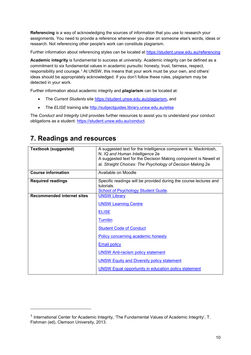**Referencing** is a way of acknowledging the sources of information that you use to research your assignments. You need to provide a reference whenever you draw on someone else's words, ideas or research. Not referencing other people's work can constitute plagiarism.

Further information about referencing styles can be located at <https://student.unsw.edu.au/referencing>

**Academic integrity** is fundamental to success at university. Academic integrity can be defined as a commitment to six fundamental values in academic pursuits**:** honesty, trust, fairness, respect, responsibility and courage.*[1](#page-9-0)* At UNSW, this means that your work must be your own, and others' ideas should be appropriately acknowledged. If you don't follow these rules, plagiarism may be detected in your work.

Further information about academic integrity and **plagiarism** can be located at:

- The *Current Students* site <https://student.unsw.edu.au/plagiarism>*,* and
- The *ELISE* training site <http://subjectguides.library.unsw.edu.au/elise>

The *Conduct and Integrity Unit* provides further resources to assist you to understand your conduct obligations as a student: [https://student.unsw.edu.au/conduct.](https://student.unsw.edu.au/conduct)

| <b>Textbook (suggested)</b>       | A suggested text for the Intelligence component is: Mackintosh,<br>N. IQ and Human Intelligence 2e |
|-----------------------------------|----------------------------------------------------------------------------------------------------|
|                                   | A suggested text for the Decision Making component is Newell et                                    |
|                                   | al. Straight Choices: The Psychology of Decision Making 2e                                         |
| <b>Course information</b>         | Available on Moodle                                                                                |
| <b>Required readings</b>          | Specific readings will be provided during the course lectures and                                  |
|                                   | tutorials.                                                                                         |
|                                   | <b>School of Psychology Student Guide.</b>                                                         |
| <b>Recommended internet sites</b> | <b>UNSW Library</b>                                                                                |
|                                   |                                                                                                    |
|                                   | <b>UNSW Learning Centre</b>                                                                        |
|                                   | <b>ELISE</b>                                                                                       |
|                                   | <b>Turnitin</b>                                                                                    |
|                                   | <b>Student Code of Conduct</b>                                                                     |
|                                   | Policy concerning academic honesty                                                                 |
|                                   | <b>Email policy</b>                                                                                |
|                                   | <b>UNSW Anti-racism policy statement</b>                                                           |
|                                   | <b>UNSW Equity and Diversity policy statement</b>                                                  |
|                                   | <b>UNSW Equal opportunity in education policy statement</b>                                        |

## **7. Readings and resources**

j

<span id="page-9-0"></span><sup>1</sup> International Center for Academic Integrity, 'The Fundamental Values of Academic Integrity', T. Fishman (ed), Clemson University, 2013.